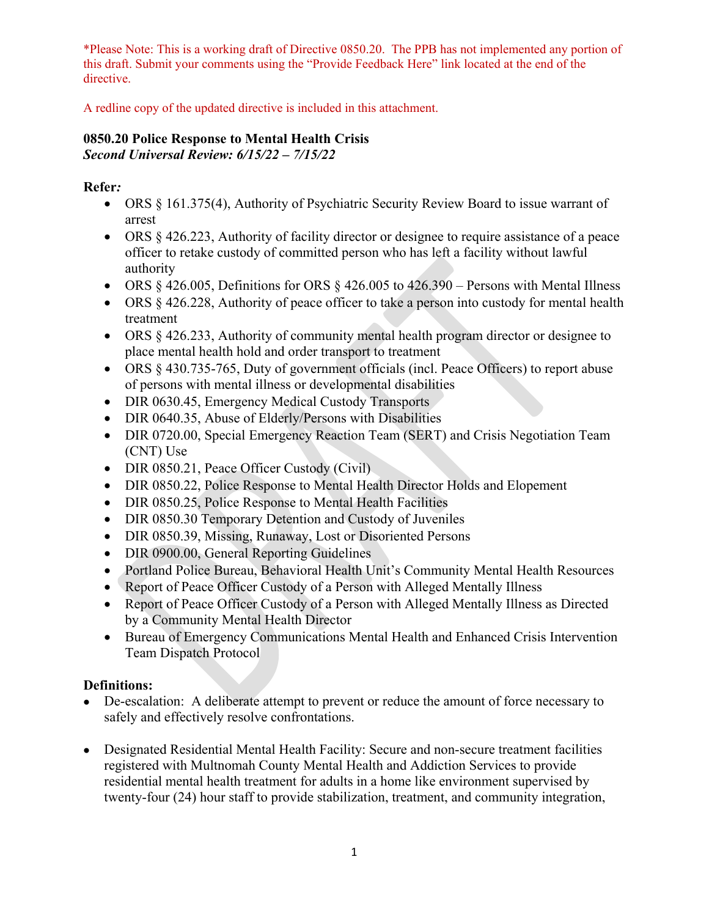A redline copy of the updated directive is included in this attachment.

#### **0850.20 Police Response to Mental Health Crisis** *Second Universal Review: 6/15/22 – 7/15/22*

**Refer***:*

- ORS § 161.375(4), Authority of Psychiatric Security Review Board to issue warrant of arrest
- ORS  $\&$  426.223, Authority of facility director or designee to require assistance of a peace officer to retake custody of committed person who has left a facility without lawful authority
- ORS  $\S$  426.005, Definitions for ORS  $\S$  426.005 to 426.390 Persons with Mental Illness
- ORS  $\&$  426.228, Authority of peace officer to take a person into custody for mental health treatment
- ORS § 426.233, Authority of community mental health program director or designee to place mental health hold and order transport to treatment
- ORS § 430.735-765, Duty of government officials (incl. Peace Officers) to report abuse of persons with mental illness or developmental disabilities
- DIR 0630.45, Emergency Medical Custody Transports
- DIR 0640.35, Abuse of Elderly/Persons with Disabilities
- DIR 0720.00, Special Emergency Reaction Team (SERT) and Crisis Negotiation Team (CNT) Use
- DIR 0850.21, Peace Officer Custody (Civil)
- DIR 0850.22, Police Response to Mental Health Director Holds and Elopement
- DIR 0850.25, Police Response to Mental Health Facilities
- DIR 0850.30 Temporary Detention and Custody of Juveniles
- DIR 0850.39, Missing, Runaway, Lost or Disoriented Persons
- DIR 0900.00, General Reporting Guidelines
- Portland Police Bureau, Behavioral Health Unit's Community Mental Health Resources
- Report of Peace Officer Custody of a Person with Alleged Mentally Illness
- Report of Peace Officer Custody of a Person with Alleged Mentally Illness as Directed by a Community Mental Health Director
- Bureau of Emergency Communications Mental Health and Enhanced Crisis Intervention Team Dispatch Protocol

## **Definitions:**

- De-escalation: A deliberate attempt to prevent or reduce the amount of force necessary to safely and effectively resolve confrontations.
- Designated Residential Mental Health Facility: Secure and non-secure treatment facilities registered with Multnomah County Mental Health and Addiction Services to provide residential mental health treatment for adults in a home like environment supervised by twenty-four (24) hour staff to provide stabilization, treatment, and community integration,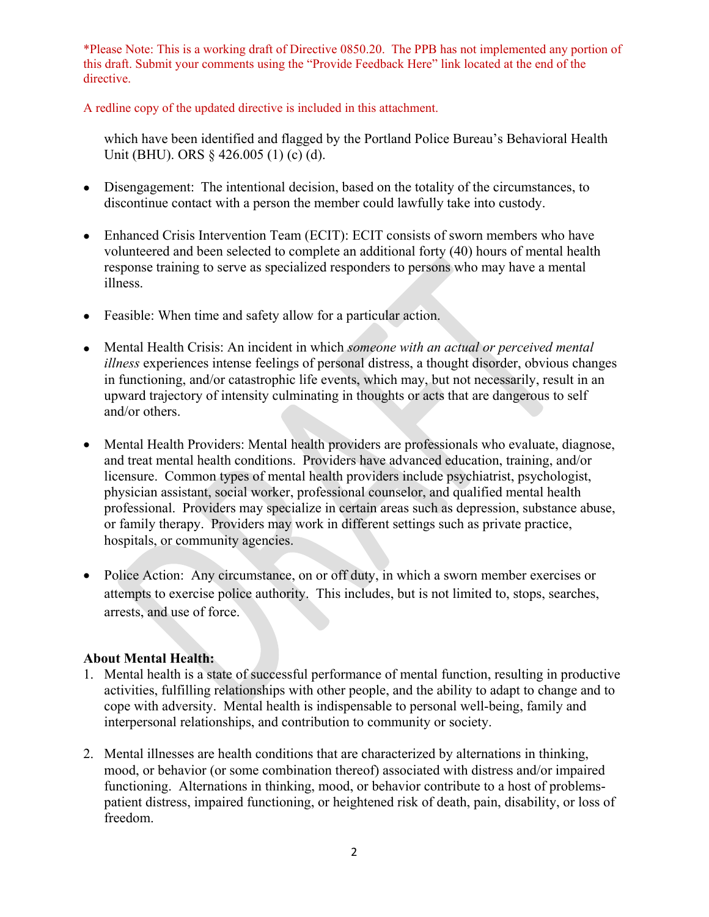A redline copy of the updated directive is included in this attachment.

which have been identified and flagged by the Portland Police Bureau's Behavioral Health Unit (BHU). ORS  $\&$  426.005 (1) (c) (d).

- Disengagement: The intentional decision, based on the totality of the circumstances, to discontinue contact with a person the member could lawfully take into custody.
- Enhanced Crisis Intervention Team (ECIT): ECIT consists of sworn members who have volunteered and been selected to complete an additional forty (40) hours of mental health response training to serve as specialized responders to persons who may have a mental illness.
- Feasible: When time and safety allow for a particular action.
- Mental Health Crisis: An incident in which *someone with an actual or perceived mental illness* experiences intense feelings of personal distress, a thought disorder, obvious changes in functioning, and/or catastrophic life events, which may, but not necessarily, result in an upward trajectory of intensity culminating in thoughts or acts that are dangerous to self and/or others.
- Mental Health Providers: Mental health providers are professionals who evaluate, diagnose, and treat mental health conditions. Providers have advanced education, training, and/or licensure. Common types of mental health providers include psychiatrist, psychologist, physician assistant, social worker, professional counselor, and qualified mental health professional. Providers may specialize in certain areas such as depression, substance abuse, or family therapy. Providers may work in different settings such as private practice, hospitals, or community agencies.
- Police Action: Any circumstance, on or off duty, in which a sworn member exercises or attempts to exercise police authority. This includes, but is not limited to, stops, searches, arrests, and use of force.

## **About Mental Health:**

- 1. Mental health is a state of successful performance of mental function, resulting in productive activities, fulfilling relationships with other people, and the ability to adapt to change and to cope with adversity. Mental health is indispensable to personal well-being, family and interpersonal relationships, and contribution to community or society.
- 2. Mental illnesses are health conditions that are characterized by alternations in thinking, mood, or behavior (or some combination thereof) associated with distress and/or impaired functioning. Alternations in thinking, mood, or behavior contribute to a host of problemspatient distress, impaired functioning, or heightened risk of death, pain, disability, or loss of freedom.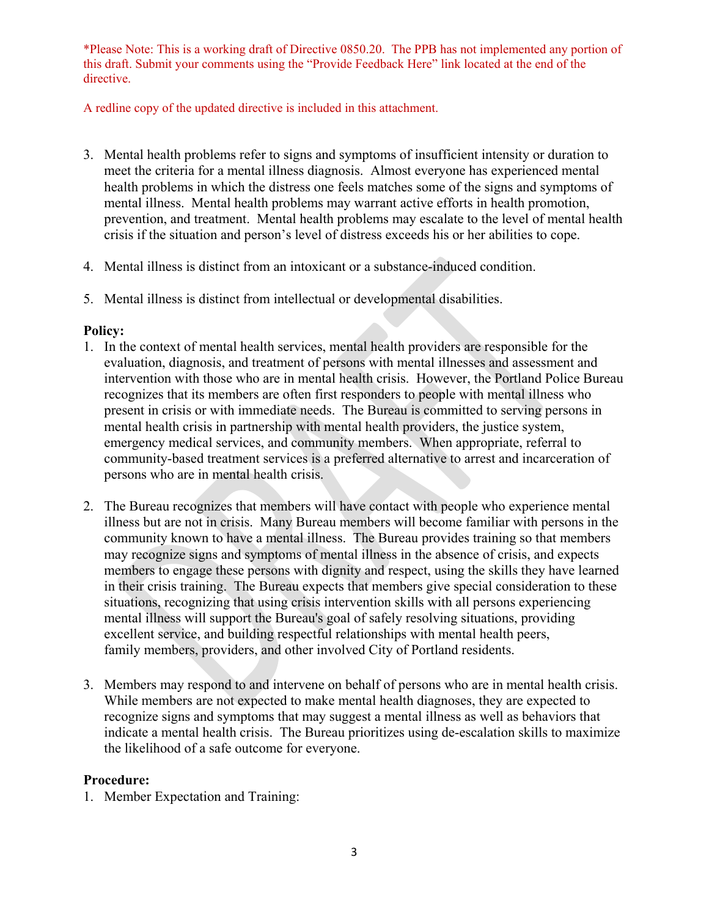A redline copy of the updated directive is included in this attachment.

- 3. Mental health problems refer to signs and symptoms of insufficient intensity or duration to meet the criteria for a mental illness diagnosis. Almost everyone has experienced mental health problems in which the distress one feels matches some of the signs and symptoms of mental illness. Mental health problems may warrant active efforts in health promotion, prevention, and treatment. Mental health problems may escalate to the level of mental health crisis if the situation and person's level of distress exceeds his or her abilities to cope.
- 4. Mental illness is distinct from an intoxicant or a substance-induced condition.
- 5. Mental illness is distinct from intellectual or developmental disabilities.

## **Policy:**

- 1. In the context of mental health services, mental health providers are responsible for the evaluation, diagnosis, and treatment of persons with mental illnesses and assessment and intervention with those who are in mental health crisis. However, the Portland Police Bureau recognizes that its members are often first responders to people with mental illness who present in crisis or with immediate needs. The Bureau is committed to serving persons in mental health crisis in partnership with mental health providers, the justice system, emergency medical services, and community members. When appropriate, referral to community-based treatment services is a preferred alternative to arrest and incarceration of persons who are in mental health crisis.
- 2. The Bureau recognizes that members will have contact with people who experience mental illness but are not in crisis. Many Bureau members will become familiar with persons in the community known to have a mental illness. The Bureau provides training so that members may recognize signs and symptoms of mental illness in the absence of crisis, and expects members to engage these persons with dignity and respect, using the skills they have learned in their crisis training. The Bureau expects that members give special consideration to these situations, recognizing that using crisis intervention skills with all persons experiencing mental illness will support the Bureau's goal of safely resolving situations, providing excellent service, and building respectful relationships with mental health peers, family members, providers, and other involved City of Portland residents.
- 3. Members may respond to and intervene on behalf of persons who are in mental health crisis. While members are not expected to make mental health diagnoses, they are expected to recognize signs and symptoms that may suggest a mental illness as well as behaviors that indicate a mental health crisis. The Bureau prioritizes using de-escalation skills to maximize the likelihood of a safe outcome for everyone.

### **Procedure:**

1. Member Expectation and Training: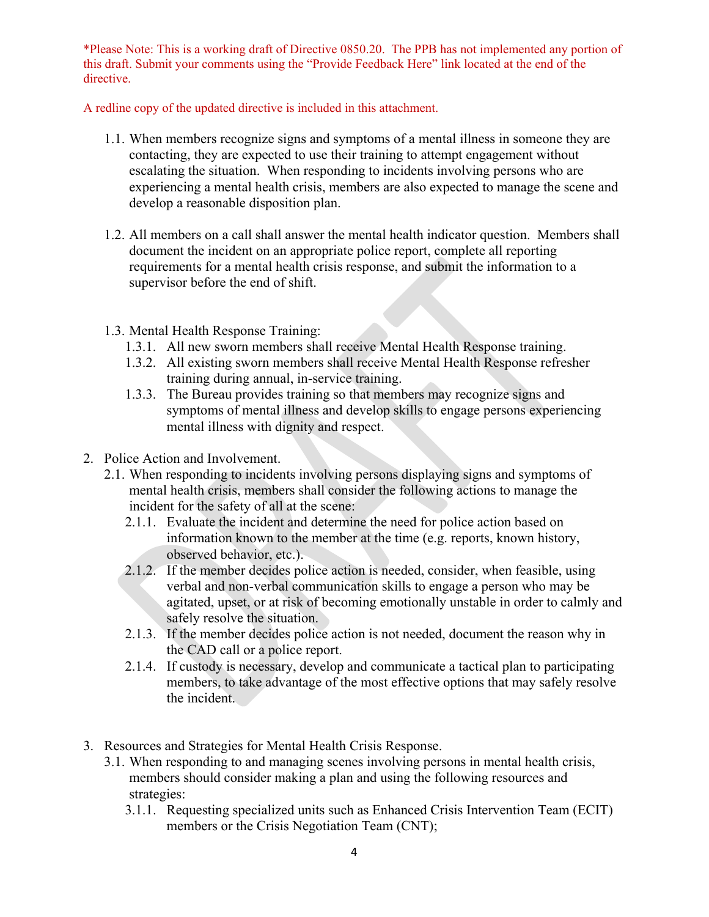A redline copy of the updated directive is included in this attachment.

- 1.1. When members recognize signs and symptoms of a mental illness in someone they are contacting, they are expected to use their training to attempt engagement without escalating the situation. When responding to incidents involving persons who are experiencing a mental health crisis, members are also expected to manage the scene and develop a reasonable disposition plan.
- 1.2. All members on a call shall answer the mental health indicator question. Members shall document the incident on an appropriate police report, complete all reporting requirements for a mental health crisis response, and submit the information to a supervisor before the end of shift.
- 1.3. Mental Health Response Training:
	- 1.3.1. All new sworn members shall receive Mental Health Response training.
	- 1.3.2. All existing sworn members shall receive Mental Health Response refresher training during annual, in-service training.
	- 1.3.3. The Bureau provides training so that members may recognize signs and symptoms of mental illness and develop skills to engage persons experiencing mental illness with dignity and respect.
- 2. Police Action and Involvement.
	- 2.1. When responding to incidents involving persons displaying signs and symptoms of mental health crisis, members shall consider the following actions to manage the incident for the safety of all at the scene:
		- 2.1.1. Evaluate the incident and determine the need for police action based on information known to the member at the time (e.g. reports, known history, observed behavior, etc.).
		- 2.1.2. If the member decides police action is needed, consider, when feasible, using verbal and non-verbal communication skills to engage a person who may be agitated, upset, or at risk of becoming emotionally unstable in order to calmly and safely resolve the situation.
		- 2.1.3. If the member decides police action is not needed, document the reason why in the CAD call or a police report.
		- 2.1.4. If custody is necessary, develop and communicate a tactical plan to participating members, to take advantage of the most effective options that may safely resolve the incident.
- 3. Resources and Strategies for Mental Health Crisis Response.
	- 3.1. When responding to and managing scenes involving persons in mental health crisis, members should consider making a plan and using the following resources and strategies:
		- 3.1.1. Requesting specialized units such as Enhanced Crisis Intervention Team (ECIT) members or the Crisis Negotiation Team (CNT);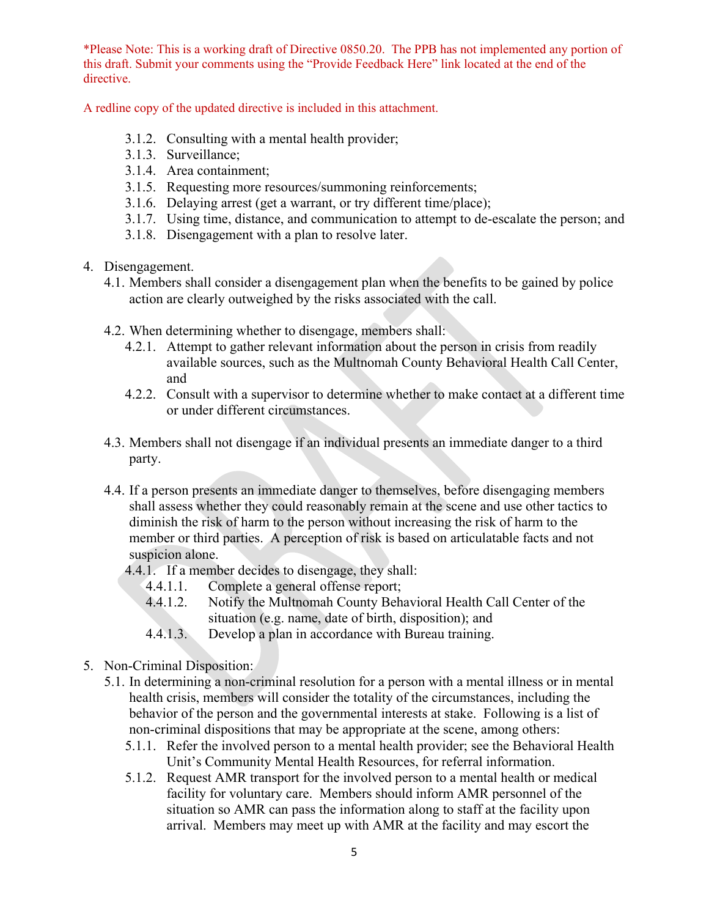A redline copy of the updated directive is included in this attachment.

- 3.1.2. Consulting with a mental health provider;
- 3.1.3. Surveillance;
- 3.1.4. Area containment;
- 3.1.5. Requesting more resources/summoning reinforcements;
- 3.1.6. Delaying arrest (get a warrant, or try different time/place);
- 3.1.7. Using time, distance, and communication to attempt to de-escalate the person; and
- 3.1.8. Disengagement with a plan to resolve later.
- 4. Disengagement.
	- 4.1. Members shall consider a disengagement plan when the benefits to be gained by police action are clearly outweighed by the risks associated with the call.
	- 4.2. When determining whether to disengage, members shall:
		- 4.2.1. Attempt to gather relevant information about the person in crisis from readily available sources, such as the Multnomah County Behavioral Health Call Center, and
		- 4.2.2. Consult with a supervisor to determine whether to make contact at a different time or under different circumstances.
	- 4.3. Members shall not disengage if an individual presents an immediate danger to a third party.
	- 4.4. If a person presents an immediate danger to themselves, before disengaging members shall assess whether they could reasonably remain at the scene and use other tactics to diminish the risk of harm to the person without increasing the risk of harm to the member or third parties. A perception of risk is based on articulatable facts and not suspicion alone.
		- 4.4.1. If a member decides to disengage, they shall:
			- 4.4.1.1. Complete a general offense report;
			- 4.4.1.2. Notify the Multnomah County Behavioral Health Call Center of the situation (e.g. name, date of birth, disposition); and
			- 4.4.1.3. Develop a plan in accordance with Bureau training.
- 5. Non-Criminal Disposition:
	- 5.1. In determining a non-criminal resolution for a person with a mental illness or in mental health crisis, members will consider the totality of the circumstances, including the behavior of the person and the governmental interests at stake. Following is a list of non-criminal dispositions that may be appropriate at the scene, among others:
		- 5.1.1. Refer the involved person to a mental health provider; see the Behavioral Health Unit's Community Mental Health Resources, for referral information.
		- 5.1.2. Request AMR transport for the involved person to a mental health or medical facility for voluntary care. Members should inform AMR personnel of the situation so AMR can pass the information along to staff at the facility upon arrival. Members may meet up with AMR at the facility and may escort the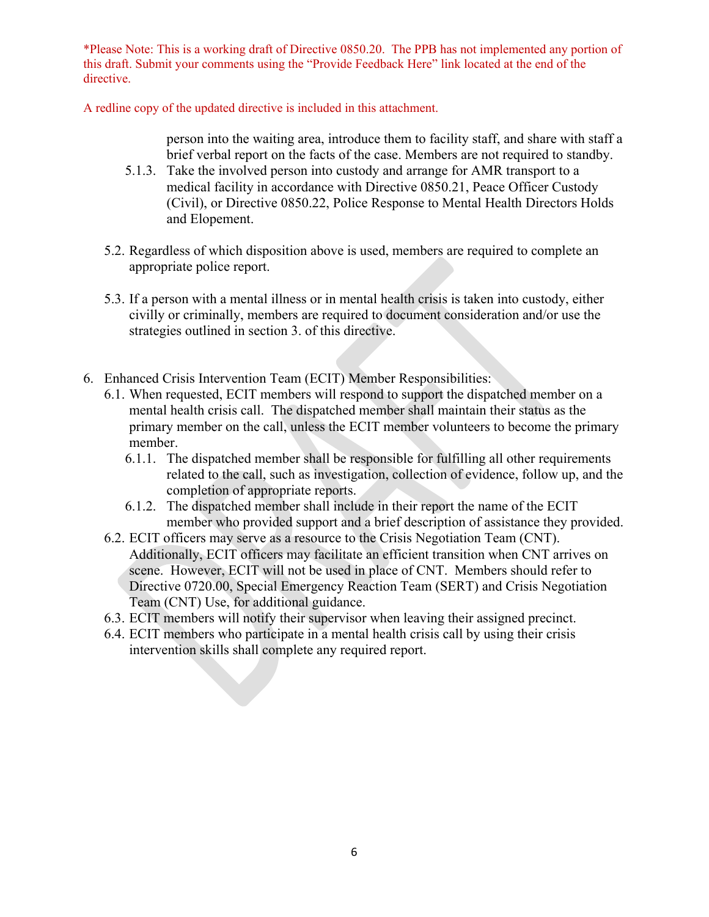A redline copy of the updated directive is included in this attachment.

- person into the waiting area, introduce them to facility staff, and share with staff a brief verbal report on the facts of the case. Members are not required to standby.
- 5.1.3. Take the involved person into custody and arrange for AMR transport to a medical facility in accordance with Directive 0850.21, Peace Officer Custody (Civil), or Directive 0850.22, Police Response to Mental Health Directors Holds and Elopement.
- 5.2. Regardless of which disposition above is used, members are required to complete an appropriate police report.
- 5.3. If a person with a mental illness or in mental health crisis is taken into custody, either civilly or criminally, members are required to document consideration and/or use the strategies outlined in section 3. of this directive.
- 6. Enhanced Crisis Intervention Team (ECIT) Member Responsibilities:
	- 6.1. When requested, ECIT members will respond to support the dispatched member on a mental health crisis call. The dispatched member shall maintain their status as the primary member on the call, unless the ECIT member volunteers to become the primary member.
		- 6.1.1. The dispatched member shall be responsible for fulfilling all other requirements related to the call, such as investigation, collection of evidence, follow up, and the completion of appropriate reports.
		- 6.1.2. The dispatched member shall include in their report the name of the ECIT member who provided support and a brief description of assistance they provided.
	- 6.2. ECIT officers may serve as a resource to the Crisis Negotiation Team (CNT). Additionally, ECIT officers may facilitate an efficient transition when CNT arrives on scene. However, ECIT will not be used in place of CNT. Members should refer to Directive 0720.00, Special Emergency Reaction Team (SERT) and Crisis Negotiation Team (CNT) Use, for additional guidance.
	- 6.3. ECIT members will notify their supervisor when leaving their assigned precinct.
	- 6.4. ECIT members who participate in a mental health crisis call by using their crisis intervention skills shall complete any required report.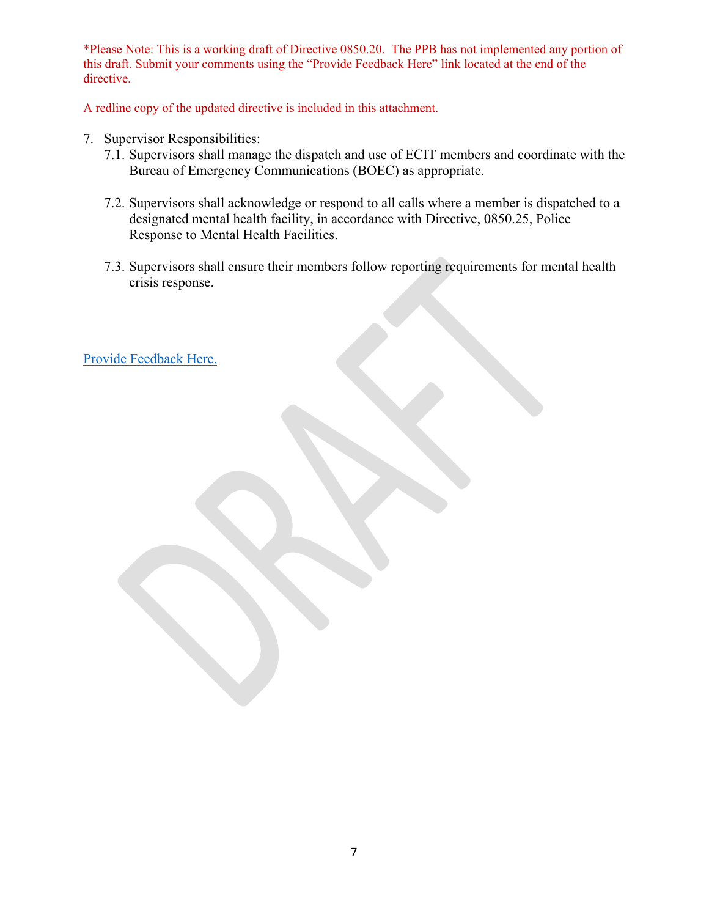A redline copy of the updated directive is included in this attachment.

- 7. Supervisor Responsibilities:
	- 7.1. Supervisors shall manage the dispatch and use of ECIT members and coordinate with the Bureau of Emergency Communications (BOEC) as appropriate.
	- 7.2. Supervisors shall acknowledge or respond to all calls where a member is dispatched to a designated mental health facility, in accordance with Directive, 0850.25, Police Response to Mental Health Facilities.
	- 7.3. Supervisors shall ensure their members follow reporting requirements for mental health crisis response.

[Provide Feedback Here.](https://www.surveymonkey.com/r/6CZLCQG)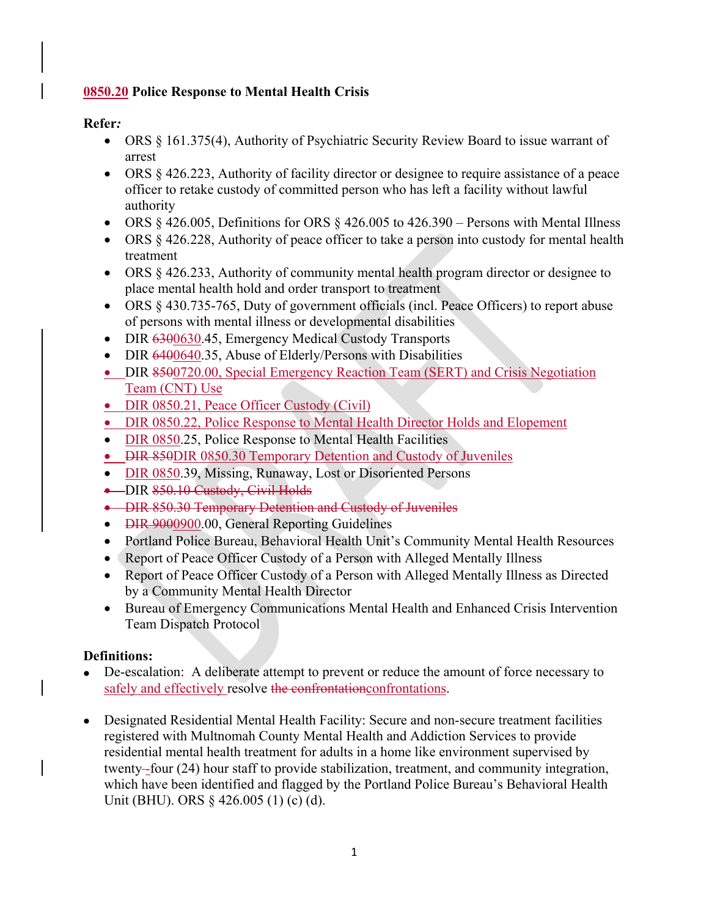## **0850.20 Police Response to Mental Health Crisis**

## **Refer***:*

- ORS § 161.375(4), Authority of Psychiatric Security Review Board to issue warrant of arrest
- ORS  $\S 426.223$ , Authority of facility director or designee to require assistance of a peace officer to retake custody of committed person who has left a facility without lawful authority
- ORS  $§$  426.005, Definitions for ORS  $§$  426.005 to 426.390 Persons with Mental Illness
- ORS § 426.228, Authority of peace officer to take a person into custody for mental health treatment
- ORS § 426.233, Authority of community mental health program director or designee to place mental health hold and order transport to treatment
- ORS § 430.735-765, Duty of government officials (incl. Peace Officers) to report abuse of persons with mental illness or developmental disabilities
- DIR 6300630.45, Emergency Medical Custody Transports
- DIR 6400640.35, Abuse of Elderly/Persons with Disabilities
- DIR 8500720.00, Special Emergency Reaction Team (SERT) and Crisis Negotiation Team (CNT) Use
- DIR 0850.21, Peace Officer Custody (Civil)
- DIR 0850.22, Police Response to Mental Health Director Holds and Elopement
- DIR 0850.25, Police Response to Mental Health Facilities
- DIR 850DIR 0850.30 Temporary Detention and Custody of Juveniles
- DIR 0850.39, Missing, Runaway, Lost or Disoriented Persons
- DIR 850.10 Custody, Civil Holds
- DIR 850.30 Temporary Detention and Custody of Juveniles
- DIR 9000900.00, General Reporting Guidelines
- Portland Police Bureau, Behavioral Health Unit's Community Mental Health Resources
- Report of Peace Officer Custody of a Person with Alleged Mentally Illness
- Report of Peace Officer Custody of a Person with Alleged Mentally Illness as Directed by a Community Mental Health Director
- Bureau of Emergency Communications Mental Health and Enhanced Crisis Intervention Team Dispatch Protocol

## **Definitions:**

- De-escalation: A deliberate attempt to prevent or reduce the amount of force necessary to safely and effectively resolve the confrontation confrontations.
- Designated Residential Mental Health Facility: Secure and non-secure treatment facilities registered with Multnomah County Mental Health and Addiction Services to provide residential mental health treatment for adults in a home like environment supervised by twenty-four (24) hour staff to provide stabilization, treatment, and community integration, which have been identified and flagged by the Portland Police Bureau's Behavioral Health Unit (BHU). ORS § 426.005 (1) (c) (d).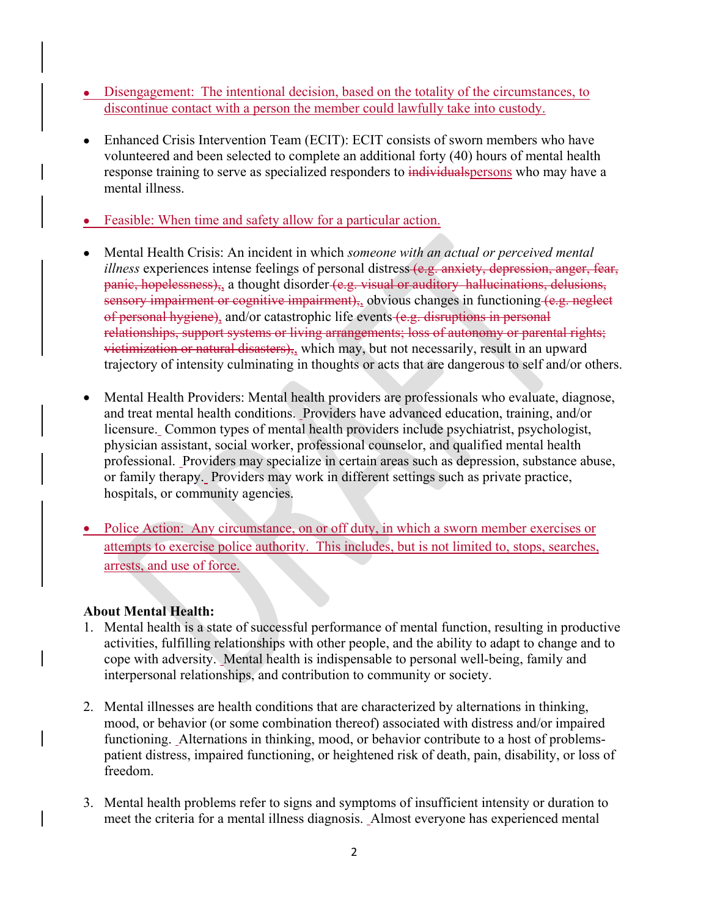- Disengagement: The intentional decision, based on the totality of the circumstances, to discontinue contact with a person the member could lawfully take into custody.
- Enhanced Crisis Intervention Team (ECIT): ECIT consists of sworn members who have volunteered and been selected to complete an additional forty (40) hours of mental health response training to serve as specialized responders to individual spersons who may have a mental illness.
- Feasible: When time and safety allow for a particular action.
- Mental Health Crisis: An incident in which *someone with an actual or perceived mental illness* experiences intense feelings of personal distress (e.g. anxiety, depression, anger, fear, panic, hopelessness), a thought disorder (e.g. visual or auditory hallucinations, delusions, sensory impairment or cognitive impairment),, obvious changes in functioning (e.g. neglect of personal hygiene), and/or catastrophic life events (e.g. disruptions in personal relationships, support systems or living arrangements; loss of autonomy or parental rights; victimization or natural disasters), which may, but not necessarily, result in an upward trajectory of intensity culminating in thoughts or acts that are dangerous to self and/or others.
- Mental Health Providers: Mental health providers are professionals who evaluate, diagnose, and treat mental health conditions. Providers have advanced education, training, and/or licensure. Common types of mental health providers include psychiatrist, psychologist, physician assistant, social worker, professional counselor, and qualified mental health professional. Providers may specialize in certain areas such as depression, substance abuse, or family therapy. Providers may work in different settings such as private practice, hospitals, or community agencies.
- Police Action: Any circumstance, on or off duty, in which a sworn member exercises or attempts to exercise police authority. This includes, but is not limited to, stops, searches, arrests, and use of force.

## **About Mental Health:**

- 1. Mental health is a state of successful performance of mental function, resulting in productive activities, fulfilling relationships with other people, and the ability to adapt to change and to cope with adversity. Mental health is indispensable to personal well-being, family and interpersonal relationships, and contribution to community or society.
- 2. Mental illnesses are health conditions that are characterized by alternations in thinking, mood, or behavior (or some combination thereof) associated with distress and/or impaired functioning. Alternations in thinking, mood, or behavior contribute to a host of problemspatient distress, impaired functioning, or heightened risk of death, pain, disability, or loss of freedom.
- 3. Mental health problems refer to signs and symptoms of insufficient intensity or duration to meet the criteria for a mental illness diagnosis. Almost everyone has experienced mental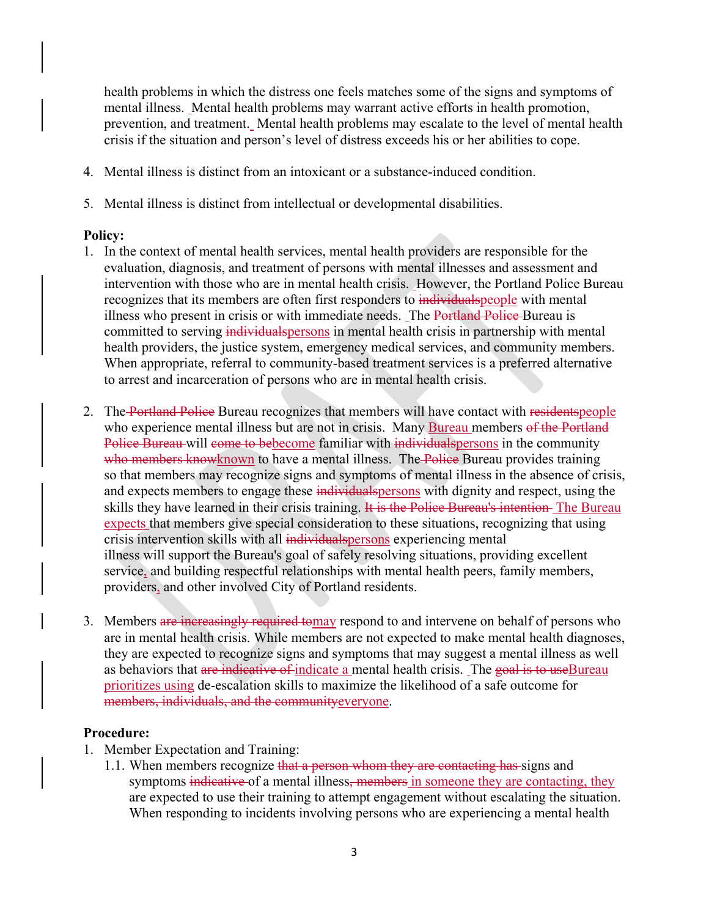health problems in which the distress one feels matches some of the signs and symptoms of mental illness. Mental health problems may warrant active efforts in health promotion, prevention, and treatment. Mental health problems may escalate to the level of mental health crisis if the situation and person's level of distress exceeds his or her abilities to cope.

- 4. Mental illness is distinct from an intoxicant or a substance-induced condition.
- 5. Mental illness is distinct from intellectual or developmental disabilities.

#### **Policy:**

- 1. In the context of mental health services, mental health providers are responsible for the evaluation, diagnosis, and treatment of persons with mental illnesses and assessment and intervention with those who are in mental health crisis. However, the Portland Police Bureau recognizes that its members are often first responders to individual speople with mental illness who present in crisis or with immediate needs. The Portland Police Bureau is committed to serving individual spersons in mental health crisis in partnership with mental health providers, the justice system, emergency medical services, and community members. When appropriate, referral to community-based treatment services is a preferred alternative to arrest and incarceration of persons who are in mental health crisis.
- 2. The Portland Police Bureau recognizes that members will have contact with residentspeople who experience mental illness but are not in crisis. Many Bureau members of the Portland Police Bureau will come to bebecome familiar with individual spersons in the community who members knowknown to have a mental illness. The Police Bureau provides training so that members may recognize signs and symptoms of mental illness in the absence of crisis, and expects members to engage these individual spersons with dignity and respect, using the skills they have learned in their crisis training. It is the Police Bureau's intention- The Bureau expects that members give special consideration to these situations, recognizing that using crisis intervention skills with all individual spersons experiencing mental illness will support the Bureau's goal of safely resolving situations, providing excellent service, and building respectful relationships with mental health peers, family members, providers, and other involved City of Portland residents.
- 3. Members are increasingly required tomay respond to and intervene on behalf of persons who are in mental health crisis. While members are not expected to make mental health diagnoses, they are expected to recognize signs and symptoms that may suggest a mental illness as well as behaviors that are indicative of indicate a mental health crisis. The goal is to useBureau prioritizes using de-escalation skills to maximize the likelihood of a safe outcome for members, individuals, and the communityeveryone.

#### **Procedure:**

- 1. Member Expectation and Training:
	- 1.1. When members recognize that a person whom they are contacting has signs and symptoms indicative of a mental illness, members in someone they are contacting, they are expected to use their training to attempt engagement without escalating the situation. When responding to incidents involving persons who are experiencing a mental health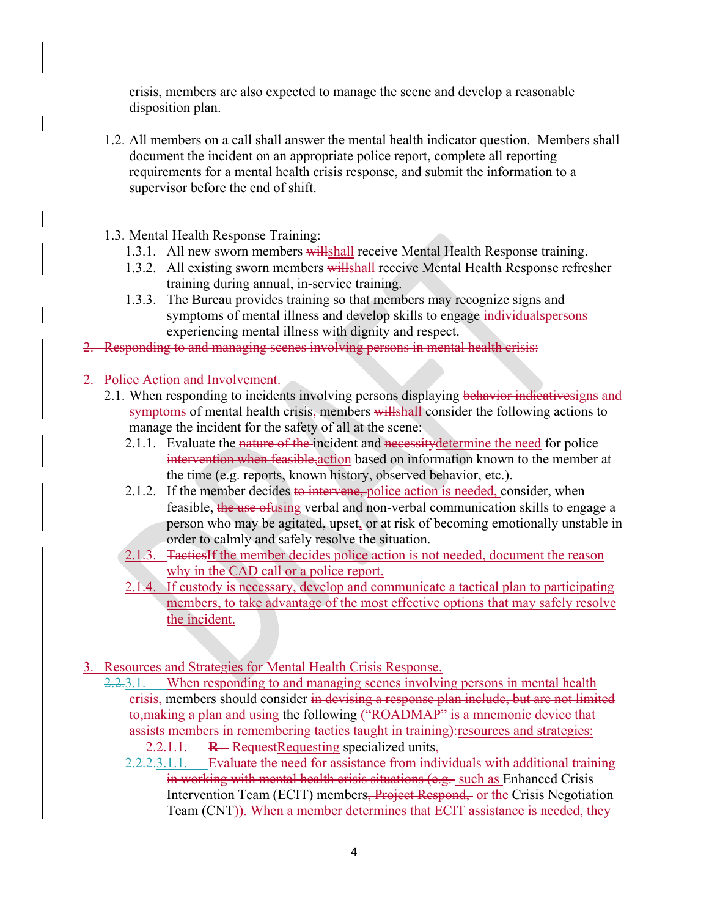crisis, members are also expected to manage the scene and develop a reasonable disposition plan.

- 1.2. All members on a call shall answer the mental health indicator question. Members shall document the incident on an appropriate police report, complete all reporting requirements for a mental health crisis response, and submit the information to a supervisor before the end of shift.
- 1.3. Mental Health Response Training:
	- 1.3.1. All new sworn members willshall receive Mental Health Response training.
	- 1.3.2. All existing sworn members willshall receive Mental Health Response refresher training during annual, in-service training.
	- 1.3.3. The Bureau provides training so that members may recognize signs and symptoms of mental illness and develop skills to engage individual spersons experiencing mental illness with dignity and respect.
- 2. Responding to and managing scenes involving persons in mental health crisis:
- 2. Police Action and Involvement.
	- 2.1. When responding to incidents involving persons displaying behavior indicativesigns and symptoms of mental health crisis, members willshall consider the following actions to manage the incident for the safety of all at the scene:
		- 2.1.1. Evaluate the nature of the incident and necessity determine the need for police intervention when feasible,action based on information known to the member at the time (e.g. reports, known history, observed behavior, etc.).
		- 2.1.2. If the member decides to intervene, police action is needed, consider, when feasible, the use ofusing verbal and non-verbal communication skills to engage a person who may be agitated, upset, or at risk of becoming emotionally unstable in order to calmly and safely resolve the situation.
		- 2.1.3. TacticsIf the member decides police action is not needed, document the reason why in the CAD call or a police report.
		- 2.1.4. If custody is necessary, develop and communicate a tactical plan to participating members, to take advantage of the most effective options that may safely resolve the incident.
- 3. Resources and Strategies for Mental Health Crisis Response.
	- 2.2.3.1. When responding to and managing scenes involving persons in mental health crisis, members should consider in devising a response plan include, but are not limited to, making a plan and using the following ("ROADMAP" is a mnemonic device that assists members in remembering tactics taught in training):resources and strategies: 2.2.1.1. **R –** RequestRequesting specialized units,
		- 2.2.2.3.1.1. Evaluate the need for assistance from individuals with additional training in working with mental health crisis situations (e.g. such as Enhanced Crisis Intervention Team (ECIT) members<del>, Project Respond, or the</del> Crisis Negotiation Team (CNT)). When a member determines that ECIT assistance is needed, they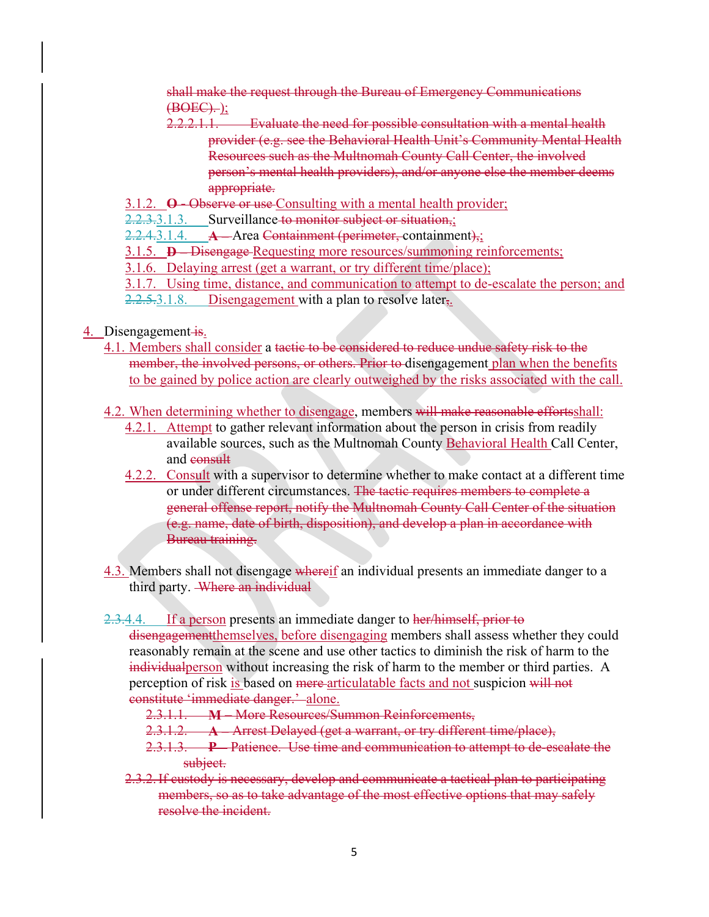shall make the request through the Bureau of Emergency Communications  $(**BOEC**)$ .

- 2.2.2.1.1. Evaluate the need for possible consultation with a mental health provider (e.g. see the Behavioral Health Unit's Community Mental Health Resources such as the Multnomah County Call Center, the involved person's mental health providers), and/or anyone else the member deems appropriate.
- 3.1.2. **O -** Observe or use Consulting with a mental health provider;
- 2.2.3.3.1.3. Surveillance to monitor subject or situation,;

2.2.4.3.1.4. **A**—Area Containment (perimeter, containment),;

3.1.5. **D –** Disengage Requesting more resources/summoning reinforcements;

3.1.6. Delaying arrest (get a warrant, or try different time/place);

3.1.7. Using time, distance, and communication to attempt to de-escalate the person; and  $2.2.5.3.1.8.$  Disengagement with a plan to resolve later<sub>5</sub>.

- 4. Disengagement is.
	- 4.1. Members shall consider a tactic to be considered to reduce undue safety risk to the member, the involved persons, or others. Prior to disengagement plan when the benefits to be gained by police action are clearly outweighed by the risks associated with the call.
	- 4.2. When determining whether to disengage, members will make reasonable efforts shall:
		- 4.2.1. Attempt to gather relevant information about the person in crisis from readily available sources, such as the Multnomah County Behavioral Health Call Center, and consult
		- 4.2.2. Consult with a supervisor to determine whether to make contact at a different time or under different circumstances. The tactic requires members to complete a general offense report, notify the Multnomah County Call Center of the situation (e.g. name, date of birth, disposition), and develop a plan in accordance with Bureau training.
	- 4.3. Members shall not disengage whereif an individual presents an immediate danger to a third party. Where an individual

2.3.4.4. If a person presents an immediate danger to her/himself, prior to

disengagementthemselves, before disengaging members shall assess whether they could reasonably remain at the scene and use other tactics to diminish the risk of harm to the individualperson without increasing the risk of harm to the member or third parties. A perception of risk is based on mere articulatable facts and not suspicion will not constitute 'immediate danger.' alone.

- 2.3.1.1. **M**  More Resources/Summon Reinforcements,
- 2.3.1.2. **A –** Arrest Delayed (get a warrant, or try different time/place),
- 2.3.1.3. **P –** Patience. Use time and communication to attempt to de-escalate the subject.
- 2.3.2.If custody is necessary, develop and communicate a tactical plan to participating members, so as to take advantage of the most effective options that may safely resolve the incident.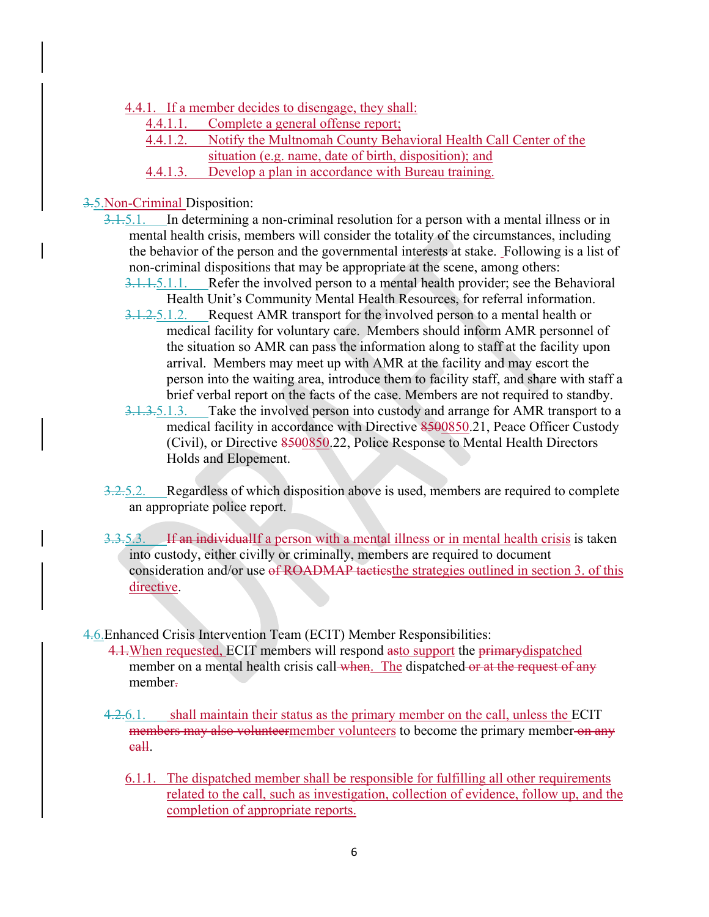- 4.4.1. If a member decides to disengage, they shall:
	- 4.4.1.1. Complete a general offense report;
	- 4.4.1.2. Notify the Multnomah County Behavioral Health Call Center of the
		- situation (e.g. name, date of birth, disposition); and
	- 4.4.1.3. Develop a plan in accordance with Bureau training.

### 3.5.Non-Criminal Disposition:

- 3.1.5.1. In determining a non-criminal resolution for a person with a mental illness or in mental health crisis, members will consider the totality of the circumstances, including the behavior of the person and the governmental interests at stake. Following is a list of non-criminal dispositions that may be appropriate at the scene, among others:
	- 3.1.1.5.1.1. Refer the involved person to a mental health provider; see the Behavioral Health Unit's Community Mental Health Resources, for referral information.
	- 3.1.2.5.1.2. Request AMR transport for the involved person to a mental health or medical facility for voluntary care. Members should inform AMR personnel of the situation so AMR can pass the information along to staff at the facility upon arrival. Members may meet up with AMR at the facility and may escort the person into the waiting area, introduce them to facility staff, and share with staff a brief verbal report on the facts of the case. Members are not required to standby.
	- 3.1.3.5.1.3. Take the involved person into custody and arrange for AMR transport to a medical facility in accordance with Directive 8500850.21, Peace Officer Custody (Civil), or Directive 8500850.22, Police Response to Mental Health Directors Holds and Elopement.
- 3.2.5.2. Regardless of which disposition above is used, members are required to complete an appropriate police report.
- 3.3.5.3. If an individualIf a person with a mental illness or in mental health crisis is taken into custody, either civilly or criminally, members are required to document consideration and/or use of ROADMAP tacties the strategies outlined in section 3. of this directive.

4.6.Enhanced Crisis Intervention Team (ECIT) Member Responsibilities:

- 4.1. When requested, ECIT members will respond asto support the primary dispatched member on a mental health crisis call when. The dispatched or at the request of any member.
- 4.2.6.1. shall maintain their status as the primary member on the call, unless the ECIT members may also volunteermember volunteers to become the primary member on any call.
	- 6.1.1. The dispatched member shall be responsible for fulfilling all other requirements related to the call, such as investigation, collection of evidence, follow up, and the completion of appropriate reports.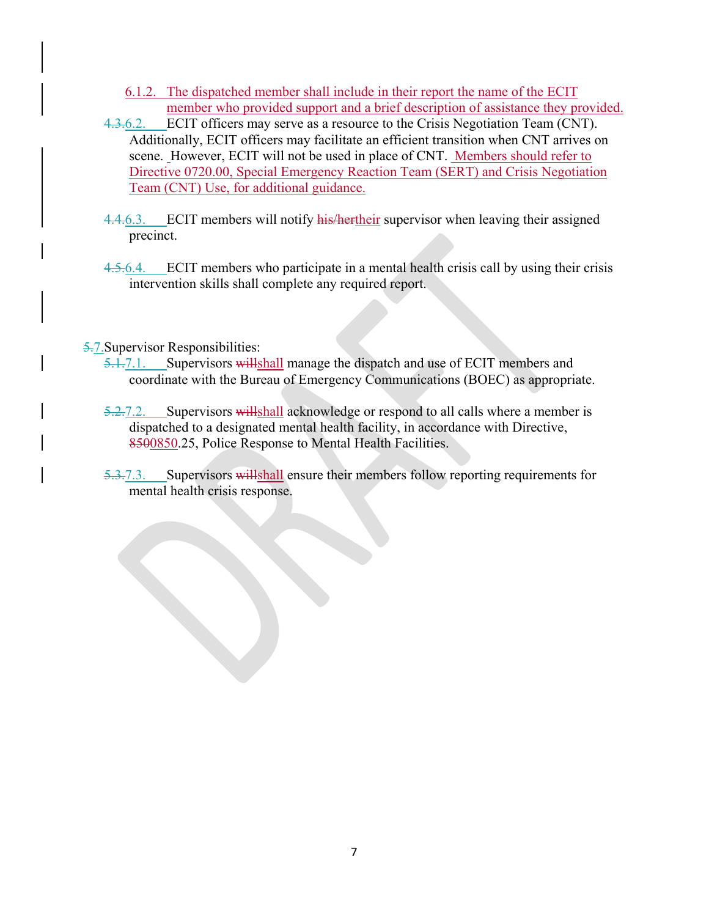- 6.1.2. The dispatched member shall include in their report the name of the ECIT member who provided support and a brief description of assistance they provided.
- 4.3.6.2. ECIT officers may serve as a resource to the Crisis Negotiation Team (CNT). Additionally, ECIT officers may facilitate an efficient transition when CNT arrives on scene. However, ECIT will not be used in place of CNT. Members should refer to Directive 0720.00, Special Emergency Reaction Team (SERT) and Crisis Negotiation Team (CNT) Use, for additional guidance.
- 4.4.6.3. ECIT members will notify his/hertheir supervisor when leaving their assigned precinct.
- 4.5.6.4. ECIT members who participate in a mental health crisis call by using their crisis intervention skills shall complete any required report.

5.7.Supervisor Responsibilities:

- 5.1.7.1. Supervisors willshall manage the dispatch and use of ECIT members and coordinate with the Bureau of Emergency Communications (BOEC) as appropriate.
- 5.2.7.2. Supervisors will shall acknowledge or respond to all calls where a member is dispatched to a designated mental health facility, in accordance with Directive, 8500850.25, Police Response to Mental Health Facilities.
- 5.3.7.3. Supervisors will shall ensure their members follow reporting requirements for mental health crisis response.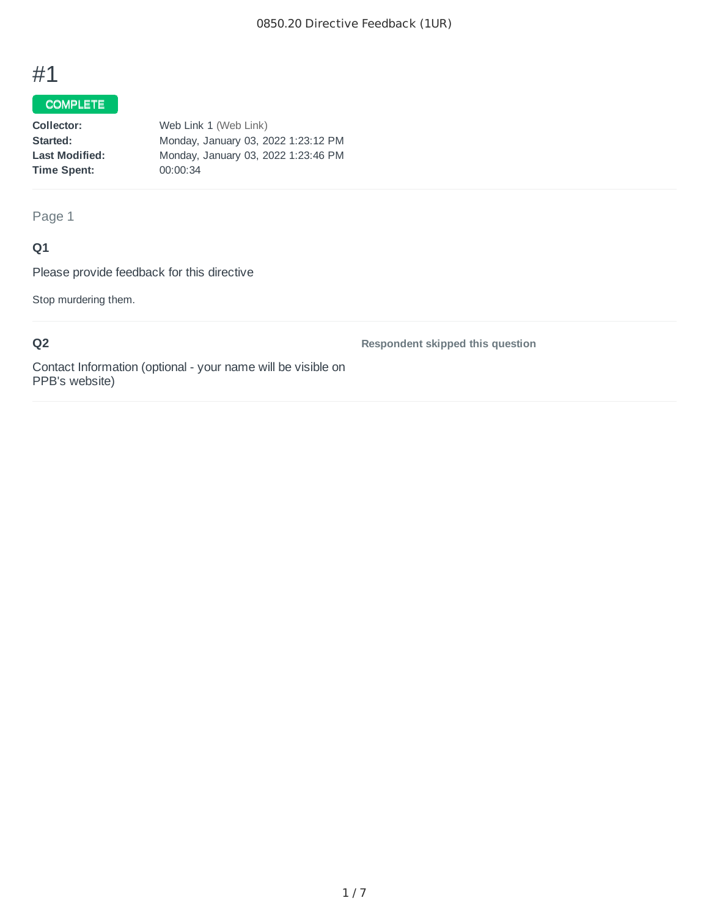# #1

## COMPLETE

| Collector:            | Web Link 1 (Web Link)               |
|-----------------------|-------------------------------------|
| Started:              | Monday, January 03, 2022 1:23:12 PM |
| <b>Last Modified:</b> | Monday, January 03, 2022 1:23:46 PM |
| Time Spent:           | 00:00:34                            |
|                       |                                     |

Page 1

## **Q1**

Please provide feedback for this directive

Stop murdering them.

**Q2**

**Respondent skipped this question**

Contact Information (optional - your name will be visible on PPB's website)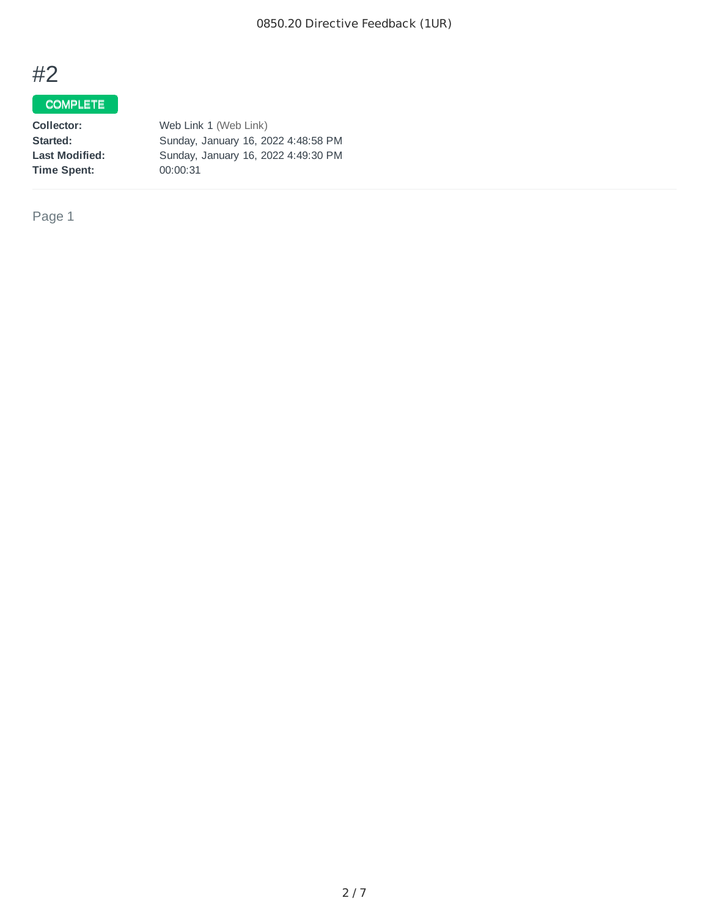# #2

## COMPLETE

| Web Link 1 (Web Link)               |
|-------------------------------------|
| Sunday, January 16, 2022 4:48:58 PM |
| Sunday, January 16, 2022 4:49:30 PM |
| 00:00:31                            |
|                                     |

Page 1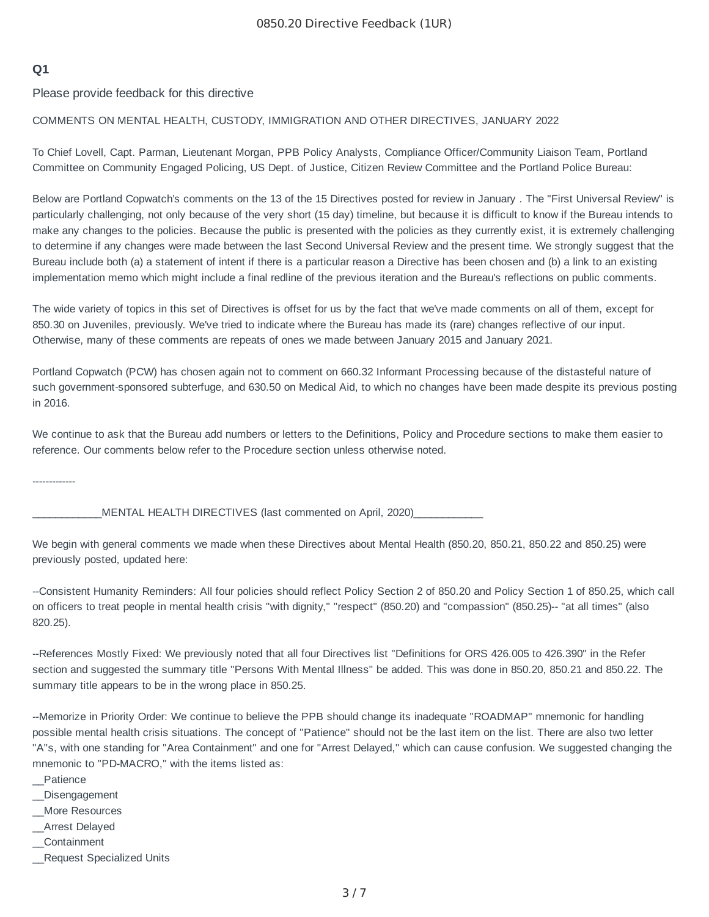## **Q1**

Please provide feedback for this directive

#### COMMENTS ON MENTAL HEALTH, CUSTODY, IMMIGRATION AND OTHER DIRECTIVES, JANUARY 2022

To Chief Lovell, Capt. Parman, Lieutenant Morgan, PPB Policy Analysts, Compliance Officer/Community Liaison Team, Portland Committee on Community Engaged Policing, US Dept. of Justice, Citizen Review Committee and the Portland Police Bureau:

Below are Portland Copwatch's comments on the 13 of the 15 Directives posted for review in January . The "First Universal Review" is particularly challenging, not only because of the very short (15 day) timeline, but because it is difficult to know if the Bureau intends to make any changes to the policies. Because the public is presented with the policies as they currently exist, it is extremely challenging to determine if any changes were made between the last Second Universal Review and the present time. We strongly suggest that the Bureau include both (a) a statement of intent if there is a particular reason a Directive has been chosen and (b) a link to an existing implementation memo which might include a final redline of the previous iteration and the Bureau's reflections on public comments.

The wide variety of topics in this set of Directives is offset for us by the fact that we've made comments on all of them, except for 850.30 on Juveniles, previously. We've tried to indicate where the Bureau has made its (rare) changes reflective of our input. Otherwise, many of these comments are repeats of ones we made between January 2015 and January 2021.

Portland Copwatch (PCW) has chosen again not to comment on 660.32 Informant Processing because of the distasteful nature of such government-sponsored subterfuge, and 630.50 on Medical Aid, to which no changes have been made despite its previous posting in 2016.

We continue to ask that the Bureau add numbers or letters to the Definitions, Policy and Procedure sections to make them easier to reference. Our comments below refer to the Procedure section unless otherwise noted.

-------------

MENTAL HEALTH DIRECTIVES (last commented on April, 2020)

We begin with general comments we made when these Directives about Mental Health (850.20, 850.21, 850.22 and 850.25) were previously posted, updated here:

--Consistent Humanity Reminders: All four policies should reflect Policy Section 2 of 850.20 and Policy Section 1 of 850.25, which call on officers to treat people in mental health crisis "with dignity," "respect" (850.20) and "compassion" (850.25)-- "at all times" (also 820.25).

--References Mostly Fixed: We previously noted that all four Directives list "Definitions for ORS 426.005 to 426.390" in the Refer section and suggested the summary title "Persons With Mental Illness" be added. This was done in 850.20, 850.21 and 850.22. The summary title appears to be in the wrong place in 850.25.

--Memorize in Priority Order: We continue to believe the PPB should change its inadequate "ROADMAP" mnemonic for handling possible mental health crisis situations. The concept of "Patience" should not be the last item on the list. There are also two letter "A"s, with one standing for "Area Containment" and one for "Arrest Delayed," which can cause confusion. We suggested changing the mnemonic to "PD-MACRO," with the items listed as:

- \_\_Patience
- \_\_Disengagement
- \_\_More Resources
- \_\_Arrest Delayed
- \_\_Containment
- \_\_Request Specialized Units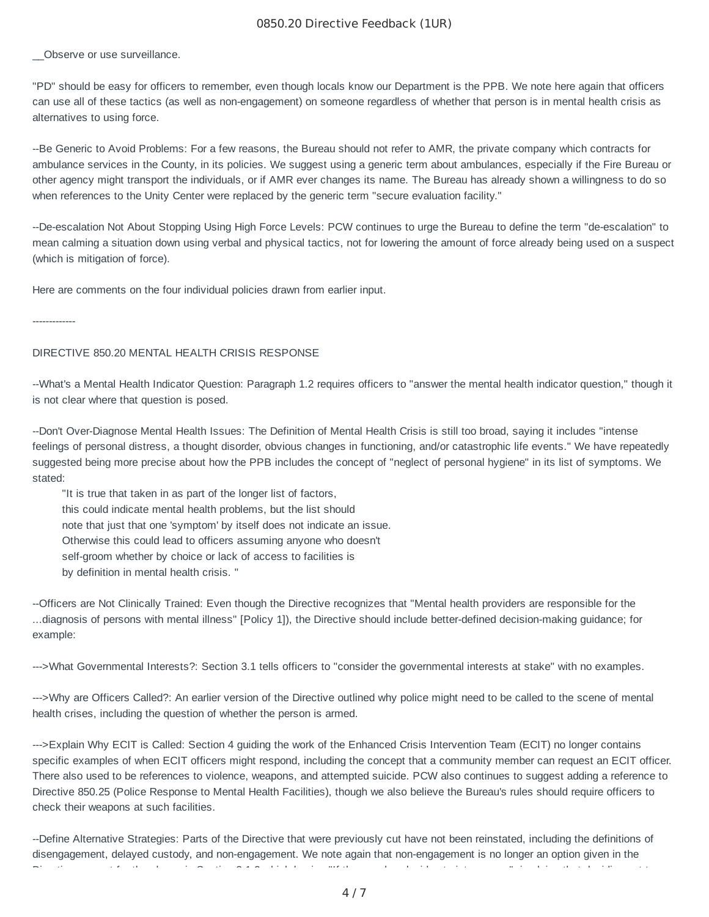#### 0850.20 Directive Feedback (1UR)

Observe or use surveillance.

"PD" should be easy for officers to remember, even though locals know our Department is the PPB. We note here again that officers can use all of these tactics (as well as non-engagement) on someone regardless of whether that person is in mental health crisis as alternatives to using force.

--Be Generic to Avoid Problems: For a few reasons, the Bureau should not refer to AMR, the private company which contracts for ambulance services in the County, in its policies. We suggest using a generic term about ambulances, especially if the Fire Bureau or other agency might transport the individuals, or if AMR ever changes its name. The Bureau has already shown a willingness to do so when references to the Unity Center were replaced by the generic term "secure evaluation facility."

--De-escalation Not About Stopping Using High Force Levels: PCW continues to urge the Bureau to define the term "de-escalation" to mean calming a situation down using verbal and physical tactics, not for lowering the amount of force already being used on a suspect (which is mitigation of force).

Here are comments on the four individual policies drawn from earlier input.

-------------

#### DIRECTIVE 850.20 MENTAL HEALTH CRISIS RESPONSE

--What's a Mental Health Indicator Question: Paragraph 1.2 requires officers to "answer the mental health indicator question," though it is not clear where that question is posed.

--Don't Over-Diagnose Mental Health Issues: The Definition of Mental Health Crisis is still too broad, saying it includes "intense feelings of personal distress, a thought disorder, obvious changes in functioning, and/or catastrophic life events." We have repeatedly suggested being more precise about how the PPB includes the concept of "neglect of personal hygiene" in its list of symptoms. We stated:

"It is true that taken in as part of the longer list of factors, this could indicate mental health problems, but the list should note that just that one 'symptom' by itself does not indicate an issue. Otherwise this could lead to officers assuming anyone who doesn't self-groom whether by choice or lack of access to facilities is by definition in mental health crisis. "

--Officers are Not Clinically Trained: Even though the Directive recognizes that "Mental health providers are responsible for the ...diagnosis of persons with mental illness" [Policy 1]), the Directive should include better-defined decision-making guidance; for example:

--->What Governmental Interests?: Section 3.1 tells officers to "consider the governmental interests at stake" with no examples.

--->Why are Officers Called?: An earlier version of the Directive outlined why police might need to be called to the scene of mental health crises, including the question of whether the person is armed.

--->Explain Why ECIT is Called: Section 4 guiding the work of the Enhanced Crisis Intervention Team (ECIT) no longer contains specific examples of when ECIT officers might respond, including the concept that a community member can request an ECIT officer. There also used to be references to violence, weapons, and attempted suicide. PCW also continues to suggest adding a reference to Directive 850.25 (Police Response to Mental Health Facilities), though we also believe the Bureau's rules should require officers to check their weapons at such facilities.

--Define Alternative Strategies: Parts of the Directive that were previously cut have not been reinstated, including the definitions of disengagement, delayed custody, and non-engagement. We note again that non-engagement is no longer an option given in the Di ti t f th l i S ti 2 1 2 hi h b i "If th b d id t i t " i l i th t d idi t t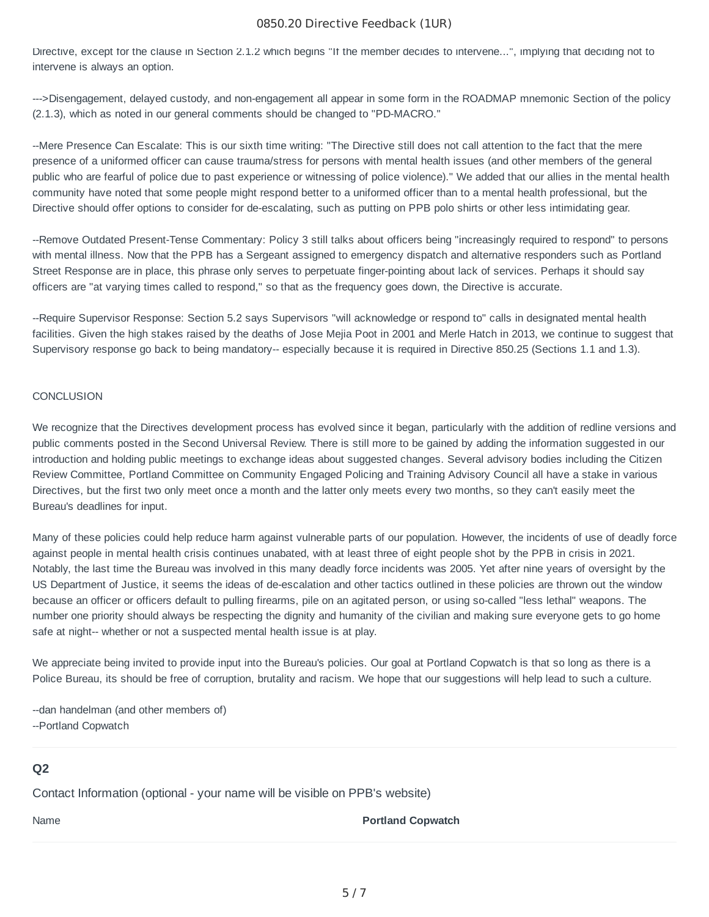#### 0850.20 Directive Feedback (1UR)

Directive, except for the clause in Section 2.1.2 which begins "If the member decides to intervene...", implying that deciding not to intervene is always an option.

--->Disengagement, delayed custody, and non-engagement all appear in some form in the ROADMAP mnemonic Section of the policy (2.1.3), which as noted in our general comments should be changed to "PD-MACRO."

--Mere Presence Can Escalate: This is our sixth time writing: "The Directive still does not call attention to the fact that the mere presence of a uniformed officer can cause trauma/stress for persons with mental health issues (and other members of the general public who are fearful of police due to past experience or witnessing of police violence)." We added that our allies in the mental health community have noted that some people might respond better to a uniformed officer than to a mental health professional, but the Directive should offer options to consider for de-escalating, such as putting on PPB polo shirts or other less intimidating gear.

--Remove Outdated Present-Tense Commentary: Policy 3 still talks about officers being "increasingly required to respond" to persons with mental illness. Now that the PPB has a Sergeant assigned to emergency dispatch and alternative responders such as Portland Street Response are in place, this phrase only serves to perpetuate finger-pointing about lack of services. Perhaps it should say officers are "at varying times called to respond," so that as the frequency goes down, the Directive is accurate.

--Require Supervisor Response: Section 5.2 says Supervisors "will acknowledge or respond to" calls in designated mental health facilities. Given the high stakes raised by the deaths of Jose Mejia Poot in 2001 and Merle Hatch in 2013, we continue to suggest that Supervisory response go back to being mandatory-- especially because it is required in Directive 850.25 (Sections 1.1 and 1.3).

#### **CONCLUSION**

We recognize that the Directives development process has evolved since it began, particularly with the addition of redline versions and public comments posted in the Second Universal Review. There is still more to be gained by adding the information suggested in our introduction and holding public meetings to exchange ideas about suggested changes. Several advisory bodies including the Citizen Review Committee, Portland Committee on Community Engaged Policing and Training Advisory Council all have a stake in various Directives, but the first two only meet once a month and the latter only meets every two months, so they can't easily meet the Bureau's deadlines for input.

Many of these policies could help reduce harm against vulnerable parts of our population. However, the incidents of use of deadly force against people in mental health crisis continues unabated, with at least three of eight people shot by the PPB in crisis in 2021. Notably, the last time the Bureau was involved in this many deadly force incidents was 2005. Yet after nine years of oversight by the US Department of Justice, it seems the ideas of de-escalation and other tactics outlined in these policies are thrown out the window because an officer or officers default to pulling firearms, pile on an agitated person, or using so-called "less lethal" weapons. The number one priority should always be respecting the dignity and humanity of the civilian and making sure everyone gets to go home safe at night-- whether or not a suspected mental health issue is at play.

We appreciate being invited to provide input into the Bureau's policies. Our goal at Portland Copwatch is that so long as there is a Police Bureau, its should be free of corruption, brutality and racism. We hope that our suggestions will help lead to such a culture.

--dan handelman (and other members of) --Portland Copwatch

### **Q2**

Contact Information (optional - your name will be visible on PPB's website)

#### Name **Portland Copwatch**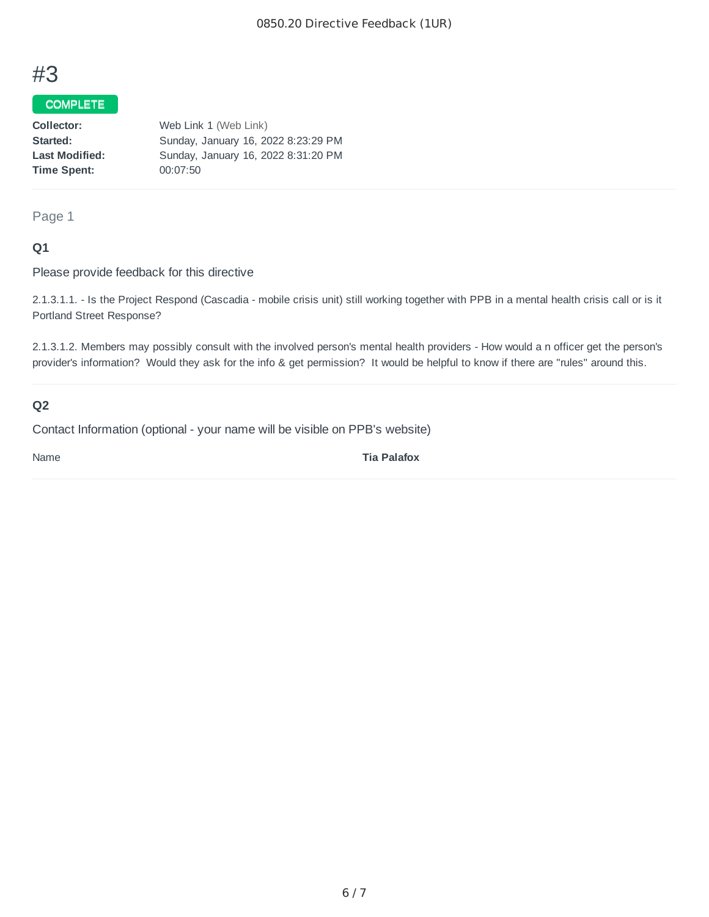## #3

## COMPLETE

| Collector:            | Web Link 1 (Web Link)               |
|-----------------------|-------------------------------------|
| Started:              | Sunday, January 16, 2022 8:23:29 PM |
| <b>Last Modified:</b> | Sunday, January 16, 2022 8:31:20 PM |
| Time Spent:           | 00:07:50                            |
|                       |                                     |

Page 1

## **Q1**

Please provide feedback for this directive

2.1.3.1.1. - Is the Project Respond (Cascadia - mobile crisis unit) still working together with PPB in a mental health crisis call or is it Portland Street Response?

2.1.3.1.2. Members may possibly consult with the involved person's mental health providers - How would a n officer get the person's provider's information? Would they ask for the info & get permission? It would be helpful to know if there are "rules" around this.

## **Q2**

Contact Information (optional - your name will be visible on PPB's website)

Name **Tia Palafox**